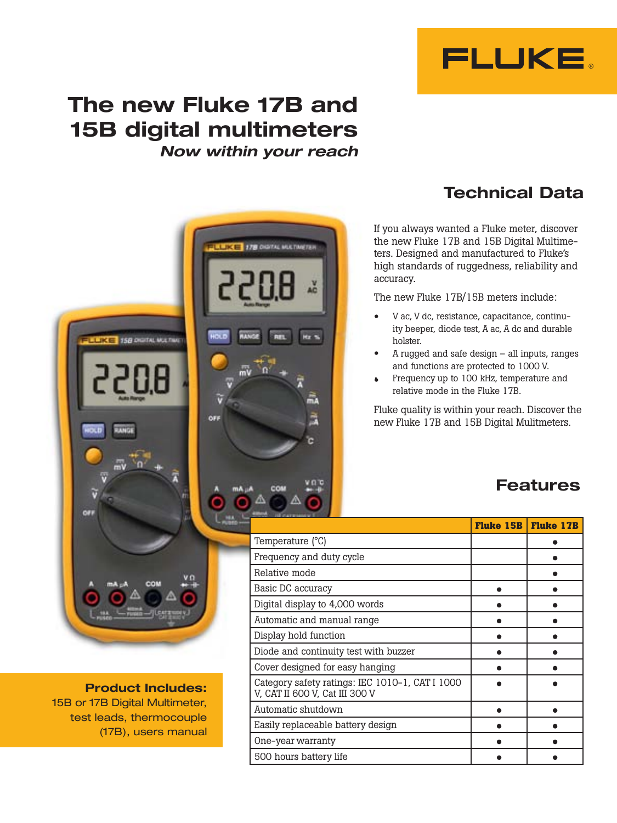

# The new Fluke 17B and 15B digital multimeters *Now within your reach*



Product Includes: 15B or 17B Digital Multimeter, test leads, thermocouple (17B), users manual

## Technical Data

If you always wanted a Fluke meter, discover the new Fluke 17B and 15B Digital Multimeters. Designed and manufactured to Fluke's high standards of ruggedness, reliability and accuracy.

The new Fluke 17B/15B meters include:

- V ac, V dc, resistance, capacitance, continuity beeper, diode test, A ac, A dc and durable holster. •
- $A$  rugged and safe design  $-$  all inputs, ranges and functions are protected to 1000 V. •
- Frequency up to 100 kHz, temperature and relative mode in the Fluke 17B. •

Fluke quality is within your reach. Discover the new Fluke 17B and 15B Digital Mulitmeters.

## Features

| 13 of announcement of 11                                                          |                    |                  |
|-----------------------------------------------------------------------------------|--------------------|------------------|
|                                                                                   | <b>Fluke 15B  </b> | <b>Fluke 17B</b> |
| Temperature (°C)                                                                  |                    |                  |
| Frequency and duty cycle                                                          |                    |                  |
| Relative mode                                                                     |                    |                  |
| Basic DC accuracy                                                                 |                    |                  |
| Digital display to 4,000 words                                                    |                    |                  |
| Automatic and manual range                                                        |                    |                  |
| Display hold function                                                             |                    |                  |
| Diode and continuity test with buzzer                                             |                    |                  |
| Cover designed for easy hanging                                                   |                    |                  |
| Category safety ratings: IEC 1010-1, CAT I 1000<br>V, CAT II 600 V, Cat III 300 V |                    |                  |
| Automatic shutdown                                                                |                    |                  |
| Easily replaceable battery design                                                 |                    |                  |
| One-year warranty                                                                 |                    |                  |
| 500 hours battery life                                                            |                    |                  |